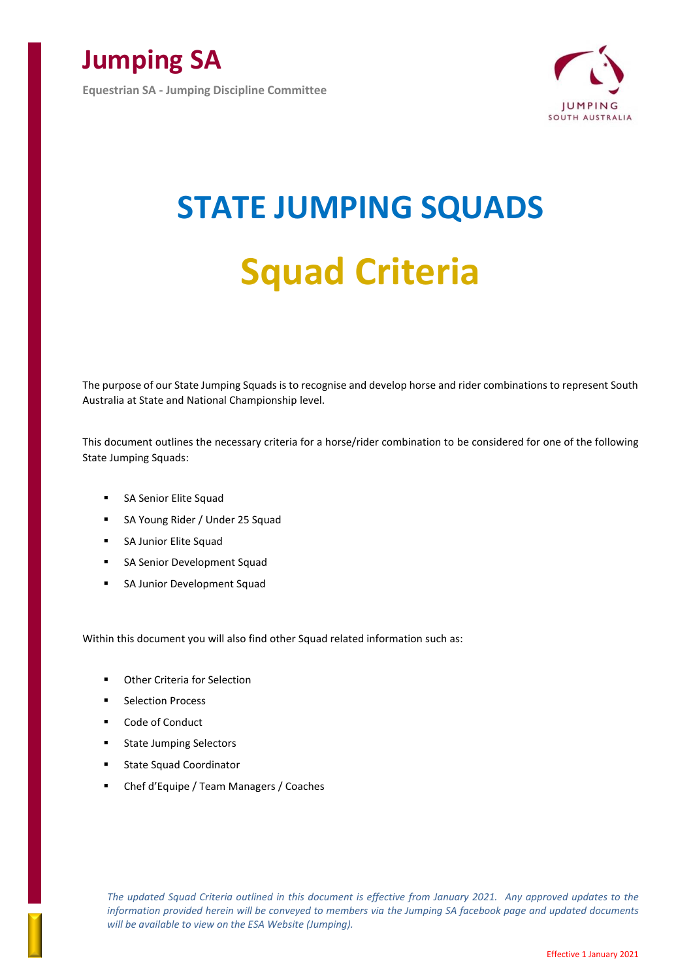

**Equestrian SA - Jumping Discipline Committee**



# **STATE JUMPING SQUADS Squad Criteria**

The purpose of our State Jumping Squads is to recognise and develop horse and rider combinations to represent South Australia at State and National Championship level.

This document outlines the necessary criteria for a horse/rider combination to be considered for one of the following State Jumping Squads:

- SA Senior Elite Squad
- SA Young Rider / Under 25 Squad
- SA Junior Elite Squad
- SA Senior Development Squad
- SA Junior Development Squad

Within this document you will also find other Squad related information such as:

- Other Criteria for Selection
- Selection Process
- Code of Conduct
- State Jumping Selectors
- State Squad Coordinator
- Chef d'Equipe / Team Managers / Coaches

*The updated Squad Criteria outlined in this document is effective from January 2021. Any approved updates to the information provided herein will be conveyed to members via the Jumping SA facebook page and updated documents will be available to view on the ESA Website (Jumping).*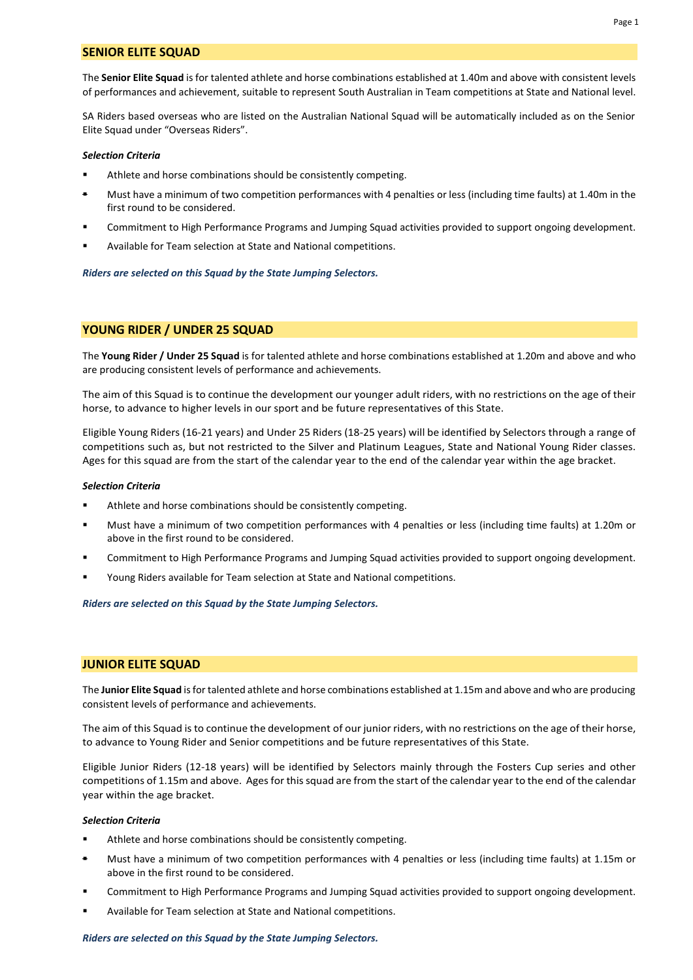## **SENIOR ELITE SQUAD**

The **Senior Elite Squad** is for talented athlete and horse combinations established at 1.40m and above with consistent levels of performances and achievement, suitable to represent South Australian in Team competitions at State and National level.

SA Riders based overseas who are listed on the Australian National Squad will be automatically included as on the Senior Elite Squad under "Overseas Riders".

#### *Selection Criteria*

- Athlete and horse combinations should be consistently competing.
- Must have a minimum of two competition performances with 4 penalties or less (including time faults) at 1.40m in the first round to be considered.
- Commitment to High Performance Programs and Jumping Squad activities provided to support ongoing development.
- Available for Team selection at State and National competitions.

#### *Riders are selected on this Squad by the State Jumping Selectors.*

## **YOUNG RIDER / UNDER 25 SQUAD**

The **Young Rider / Under 25 Squad** is for talented athlete and horse combinations established at 1.20m and above and who are producing consistent levels of performance and achievements.

The aim of this Squad is to continue the development our younger adult riders, with no restrictions on the age of their horse, to advance to higher levels in our sport and be future representatives of this State.

Eligible Young Riders (16-21 years) and Under 25 Riders (18-25 years) will be identified by Selectors through a range of competitions such as, but not restricted to the Silver and Platinum Leagues, State and National Young Rider classes. Ages for this squad are from the start of the calendar year to the end of the calendar year within the age bracket.

#### *Selection Criteria*

- Athlete and horse combinations should be consistently competing.
- Must have a minimum of two competition performances with 4 penalties or less (including time faults) at 1.20m or above in the first round to be considered.
- Commitment to High Performance Programs and Jumping Squad activities provided to support ongoing development.
- Young Riders available for Team selection at State and National competitions.

*Riders are selected on this Squad by the State Jumping Selectors.*

#### **JUNIOR ELITE SQUAD**

The **Junior Elite Squad** is for talented athlete and horse combinations established at 1.15m and above and who are producing consistent levels of performance and achievements.

The aim of this Squad is to continue the development of our junior riders, with no restrictions on the age of their horse, to advance to Young Rider and Senior competitions and be future representatives of this State.

Eligible Junior Riders (12-18 years) will be identified by Selectors mainly through the Fosters Cup series and other competitions of 1.15m and above. Ages for this squad are from the start of the calendar year to the end of the calendar year within the age bracket.

#### *Selection Criteria*

- Athlete and horse combinations should be consistently competing.
- Must have a minimum of two competition performances with 4 penalties or less (including time faults) at 1.15m or above in the first round to be considered.
- Commitment to High Performance Programs and Jumping Squad activities provided to support ongoing development.
- Available for Team selection at State and National competitions.

### *Riders are selected on this Squad by the State Jumping Selectors.*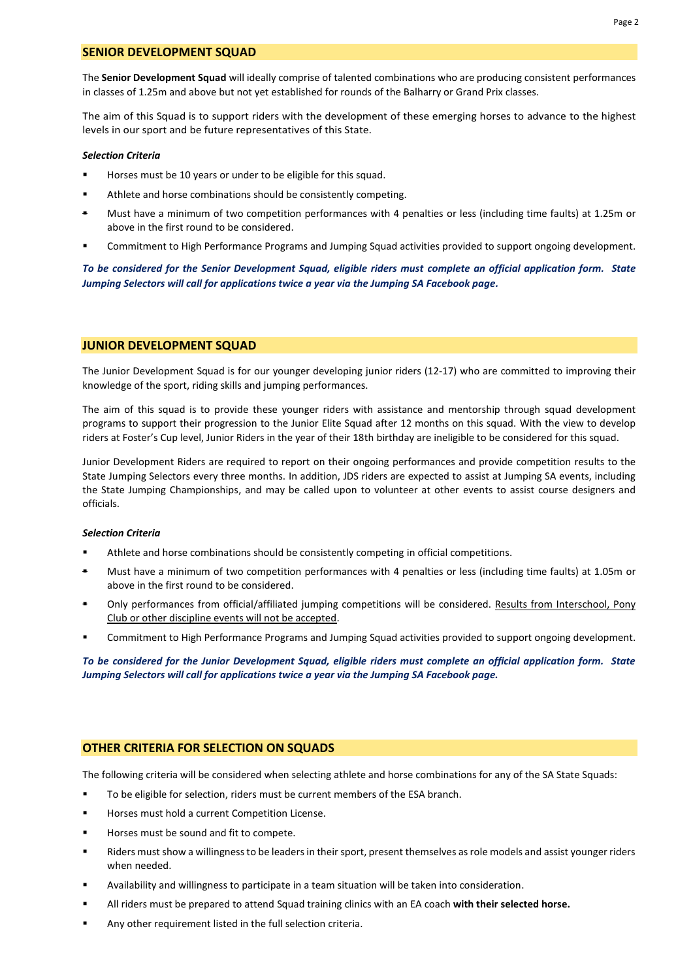The **Senior Development Squad** will ideally comprise of talented combinations who are producing consistent performances in classes of 1.25m and above but not yet established for rounds of the Balharry or Grand Prix classes.

The aim of this Squad is to support riders with the development of these emerging horses to advance to the highest levels in our sport and be future representatives of this State.

#### *Selection Criteria*

- Horses must be 10 years or under to be eligible for this squad.
- Athlete and horse combinations should be consistently competing.
- Must have a minimum of two competition performances with 4 penalties or less (including time faults) at 1.25m or above in the first round to be considered.
- Commitment to High Performance Programs and Jumping Squad activities provided to support ongoing development.

*To be considered for the Senior Development Squad, eligible riders must complete an official application form. State Jumping Selectors will call for applications twice a year via the Jumping SA Facebook page.* 

## **JUNIOR DEVELOPMENT SQUAD**

The Junior Development Squad is for our younger developing junior riders (12-17) who are committed to improving their knowledge of the sport, riding skills and jumping performances.

The aim of this squad is to provide these younger riders with assistance and mentorship through squad development programs to support their progression to the Junior Elite Squad after 12 months on this squad. With the view to develop riders at Foster's Cup level, Junior Riders in the year of their 18th birthday are ineligible to be considered for this squad.

Junior Development Riders are required to report on their ongoing performances and provide competition results to the State Jumping Selectors every three months. In addition, JDS riders are expected to assist at Jumping SA events, including the State Jumping Championships, and may be called upon to volunteer at other events to assist course designers and officials.

## *Selection Criteria*

- **■** Athlete and horse combinations should be consistently competing in official competitions.
- Must have a minimum of two competition performances with 4 penalties or less (including time faults) at 1.05m or above in the first round to be considered.
- Only performances from official/affiliated jumping competitions will be considered. Results from Interschool, Pony Club or other discipline events will not be accepted.
- Commitment to High Performance Programs and Jumping Squad activities provided to support ongoing development.

*To be considered for the Junior Development Squad, eligible riders must complete an official application form. State Jumping Selectors will call for applications twice a year via the Jumping SA Facebook page.* 

## **OTHER CRITERIA FOR SELECTION ON SQUADS**

The following criteria will be considered when selecting athlete and horse combinations for any of the SA State Squads:

- To be eligible for selection, riders must be current members of the ESA branch.
- Horses must hold a current Competition License.
- Horses must be sound and fit to compete.
- Riders must show a willingness to be leaders in their sport, present themselves as role models and assist younger riders when needed.
- Availability and willingness to participate in a team situation will be taken into consideration.
- All riders must be prepared to attend Squad training clinics with an EA coach **with their selected horse.**
- Any other requirement listed in the full selection criteria.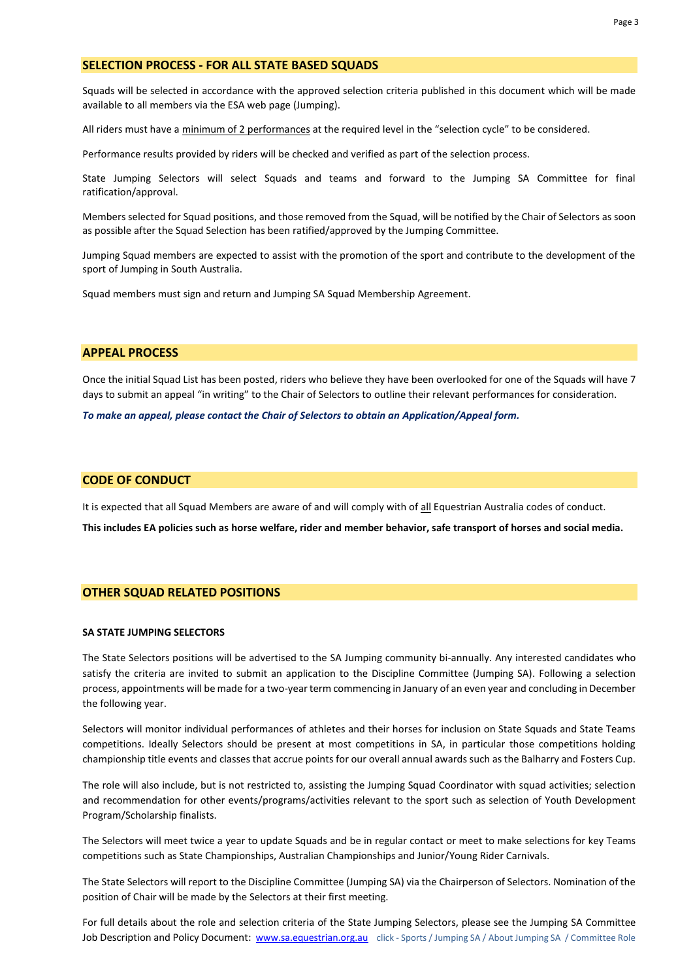#### **SELECTION PROCESS - FOR ALL STATE BASED SQUADS**

Squads will be selected in accordance with the approved selection criteria published in this document which will be made available to all members via the ESA web page (Jumping).

All riders must have a minimum of 2 performances at the required level in the "selection cycle" to be considered.

Performance results provided by riders will be checked and verified as part of the selection process.

State Jumping Selectors will select Squads and teams and forward to the Jumping SA Committee for final ratification/approval.

Members selected for Squad positions, and those removed from the Squad, will be notified by the Chair of Selectors as soon as possible after the Squad Selection has been ratified/approved by the Jumping Committee.

Jumping Squad members are expected to assist with the promotion of the sport and contribute to the development of the sport of Jumping in South Australia.

Squad members must sign and return and Jumping SA Squad Membership Agreement.

## **APPEAL PROCESS**

Once the initial Squad List has been posted, riders who believe they have been overlooked for one of the Squads will have 7 days to submit an appeal "in writing" to the Chair of Selectors to outline their relevant performances for consideration.

*To make an appeal, please contact the Chair of Selectors to obtain an Application/Appeal form.* 

## **CODE OF CONDUCT**

It is expected that all Squad Members are aware of and will comply with of all Equestrian Australia codes of conduct.

**This includes EA policies such as horse welfare, rider and member behavior, safe transport of horses and social media.**

## **OTHER SQUAD RELATED POSITIONS**

#### **SA STATE JUMPING SELECTORS**

The State Selectors positions will be advertised to the SA Jumping community bi-annually. Any interested candidates who satisfy the criteria are invited to submit an application to the Discipline Committee (Jumping SA). Following a selection process, appointments will be made for a two-year term commencing in January of an even year and concluding in December the following year.

Selectors will monitor individual performances of athletes and their horses for inclusion on State Squads and State Teams competitions. Ideally Selectors should be present at most competitions in SA, in particular those competitions holding championship title events and classes that accrue points for our overall annual awards such as the Balharry and Fosters Cup.

The role will also include, but is not restricted to, assisting the Jumping Squad Coordinator with squad activities; selection and recommendation for other events/programs/activities relevant to the sport such as selection of Youth Development Program/Scholarship finalists.

The Selectors will meet twice a year to update Squads and be in regular contact or meet to make selections for key Teams competitions such as State Championships, Australian Championships and Junior/Young Rider Carnivals.

The State Selectors will report to the Discipline Committee (Jumping SA) via the Chairperson of Selectors. Nomination of the position of Chair will be made by the Selectors at their first meeting.

For full details about the role and selection criteria of the State Jumping Selectors, please see the Jumping SA Committee Job Description and Policy Document: [www.sa.equestrian.org.au](http://www.sa.equestrian.org.au/) click - Sports / Jumping SA / About Jumping SA / Committee Role